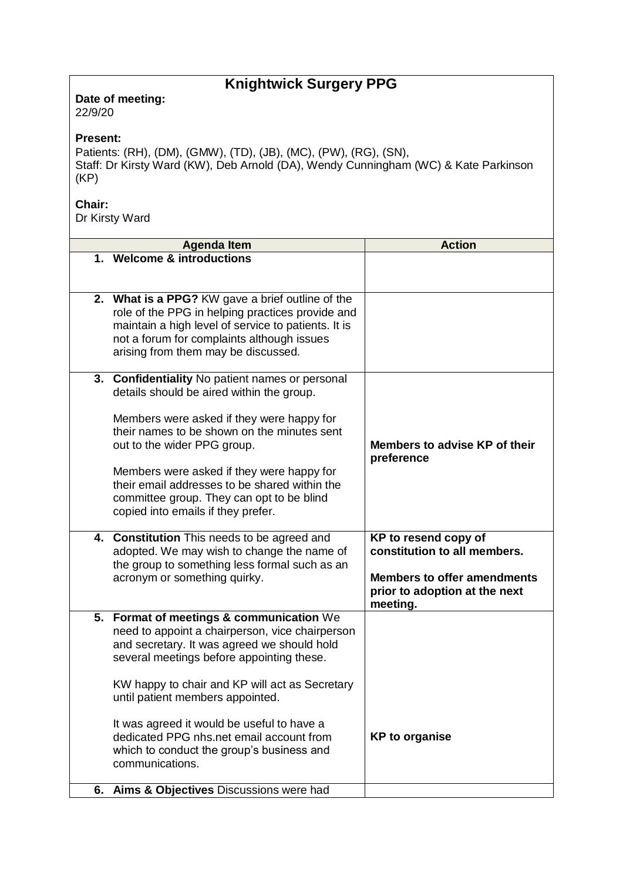## **Knightwick Surgery PPG**

**Date of meeting:**  22/9/20

## **Present:**

Patients: (RH), (DM), (GMW), (TD), (JB), (MC), (PW), (RG), (SN), Staff: Dr Kirsty Ward (KW), Deb Arnold (DA), Wendy Cunningham (WC) & Kate Parkinson (KP)

## **Chair:**

Dr Kirsty Ward

|    | <b>Agenda Item</b>                                                                                                                                                                                                                                                                                                                                                                                                                              | <b>Action</b>                                                                                                                           |
|----|-------------------------------------------------------------------------------------------------------------------------------------------------------------------------------------------------------------------------------------------------------------------------------------------------------------------------------------------------------------------------------------------------------------------------------------------------|-----------------------------------------------------------------------------------------------------------------------------------------|
|    | 1. Welcome & introductions                                                                                                                                                                                                                                                                                                                                                                                                                      |                                                                                                                                         |
|    | 2. What is a PPG? KW gave a brief outline of the<br>role of the PPG in helping practices provide and<br>maintain a high level of service to patients. It is<br>not a forum for complaints although issues<br>arising from them may be discussed.                                                                                                                                                                                                |                                                                                                                                         |
| 3. | <b>Confidentiality No patient names or personal</b><br>details should be aired within the group.<br>Members were asked if they were happy for<br>their names to be shown on the minutes sent<br>out to the wider PPG group.<br>Members were asked if they were happy for<br>their email addresses to be shared within the<br>committee group. They can opt to be blind<br>copied into emails if they prefer.                                    | Members to advise KP of their<br>preference                                                                                             |
|    | 4. Constitution This needs to be agreed and<br>adopted. We may wish to change the name of<br>the group to something less formal such as an<br>acronym or something quirky.                                                                                                                                                                                                                                                                      | KP to resend copy of<br>constitution to all members.<br><b>Members to offer amendments</b><br>prior to adoption at the next<br>meeting. |
| 5. | <b>Format of meetings &amp; communication We</b><br>need to appoint a chairperson, vice chairperson<br>and secretary. It was agreed we should hold<br>several meetings before appointing these.<br>KW happy to chair and KP will act as Secretary<br>until patient members appointed.<br>It was agreed it would be useful to have a<br>dedicated PPG nhs.net email account from<br>which to conduct the group's business and<br>communications. | <b>KP</b> to organise                                                                                                                   |
| 6. | Aims & Objectives Discussions were had                                                                                                                                                                                                                                                                                                                                                                                                          |                                                                                                                                         |